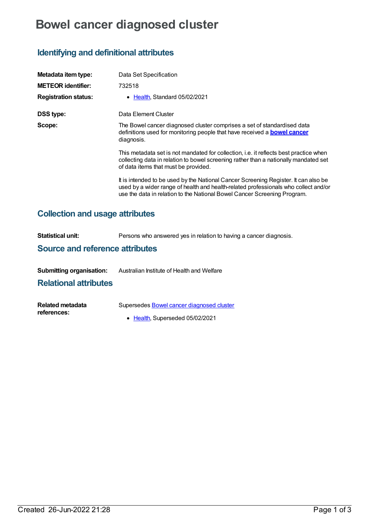# **Bowel cancer diagnosed cluster**

## **Identifying and definitional attributes**

| Metadata item type:                    | Data Set Specification                                                                                                                                                                                                                                 |  |  |  |
|----------------------------------------|--------------------------------------------------------------------------------------------------------------------------------------------------------------------------------------------------------------------------------------------------------|--|--|--|
| <b>METEOR identifier:</b>              | 732518                                                                                                                                                                                                                                                 |  |  |  |
| <b>Registration status:</b>            | Health, Standard 05/02/2021                                                                                                                                                                                                                            |  |  |  |
| <b>DSS type:</b>                       | Data Element Cluster                                                                                                                                                                                                                                   |  |  |  |
| Scope:                                 | The Bowel cancer diagnosed cluster comprises a set of standardised data<br>definitions used for monitoring people that have received a <b>bowel cancer</b><br>diagnosis.                                                                               |  |  |  |
|                                        | This metadata set is not mandated for collection, i.e. it reflects best practice when<br>collecting data in relation to bowel screening rather than a nationally mandated set<br>of data items that must be provided.                                  |  |  |  |
|                                        | It is intended to be used by the National Cancer Screening Register. It can also be<br>used by a wider range of health and health-related professionals who collect and/or<br>use the data in relation to the National Bowel Cancer Screening Program. |  |  |  |
| <b>Collection and usage attributes</b> |                                                                                                                                                                                                                                                        |  |  |  |

| Statistical unit:                      | Persons who answered yes in relation to having a cancer diagnosis. |  |  |  |
|----------------------------------------|--------------------------------------------------------------------|--|--|--|
| <b>Source and reference attributes</b> |                                                                    |  |  |  |
|                                        |                                                                    |  |  |  |

**Submitting organisation:** Australian Institute of Health and Welfare

## **Relational attributes**

| <b>Related metadata</b> | Supersedes Bowel cancer diagnosed cluster |  |  |  |
|-------------------------|-------------------------------------------|--|--|--|
| references:             |                                           |  |  |  |

• [Health](https://meteor.aihw.gov.au/RegistrationAuthority/12), Superseded 05/02/2021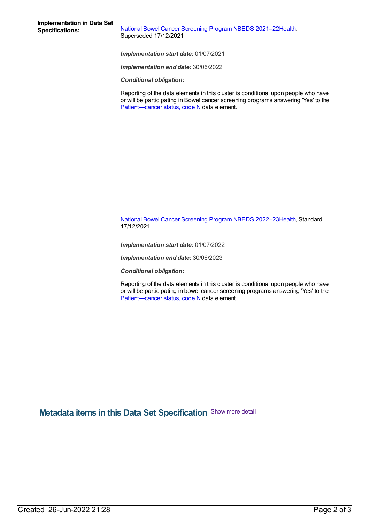**National Bowel Cancer [Screening](https://meteor.aihw.gov.au/content/727407) Program NBEDS 2021-2[2Health](https://meteor.aihw.gov.au/RegistrationAuthority/12),** Superseded 17/12/2021

*Implementation start date:* 01/07/2021

*Implementation end date:* 30/06/2022

*Conditional obligation:*

Reporting of the data elements in this cluster is conditional upon people who have or will be participating in Bowel cancer screening programs answering 'Yes' to the [Patient—cancer](file:///content/394071) status, code N data element.

National Bowel Cancer [Screening](https://meteor.aihw.gov.au/content/742048) Program NBEDS 2022–2[3Health](https://meteor.aihw.gov.au/RegistrationAuthority/12), Standard 17/12/2021

*Implementation start date:* 01/07/2022

*Implementation end date:* 30/06/2023

*Conditional obligation:*

Reporting of the data elements in this cluster is conditional upon people who have or will be participating in bowel cancer screening programs answering 'Yes' to the Patient-cancer status, code N data element.

**Metadata items in this Data Set Specification** Show more detail